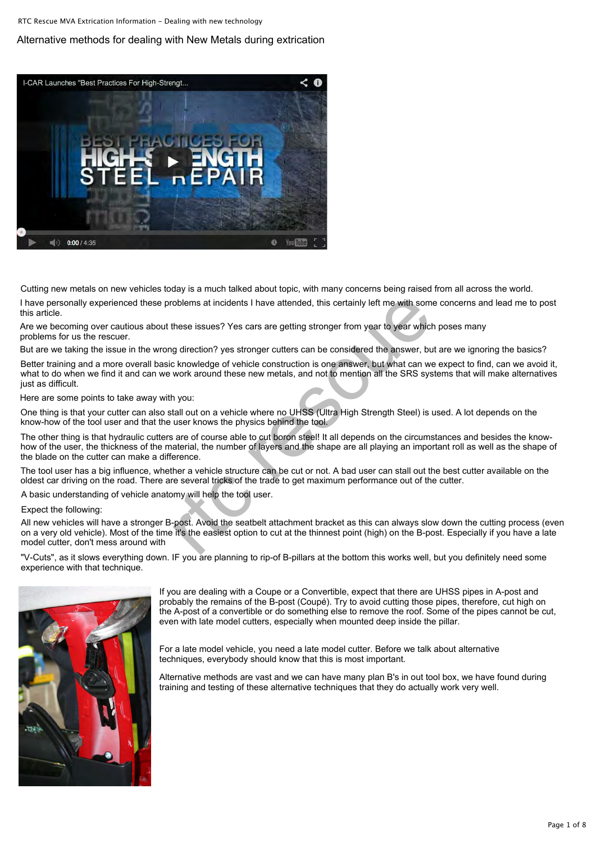## Alternative methods for dealing with New Metals during extrication



Cutting ne[w metals on new vehicles today is](http://www.rtc-rescue.com/page7.htm) a much talked about topic, with many concerns being raised from all across the world.

I have pers[onally experienced these problem](http://www.rtc-rescue.com/page8.htm)s at incidents I have attended, this certainly left me with some concerns and lead me to post this article.

Are we bec[oming over cautious about these](http://www.rtc-rescue.com/page9.htm) issues? Yes cars are getting stronger from year to year which poses many problems f[or us the rescuer.](http://www.rtc-rescue.com/page10.htm)

But are we [taking the issue in the wrong dire](http://www.rtc-rescue.com/page11.htm)ction? yes stronger cutters can be considered the answer, but are we ignoring the basics?

Better train[ing and a more overall basic know](http://www.rtc-rescue.com/page12.htm)ledge of vehicle construction is one answer, but what can we expect to find, can we avoid it, what to do when we find it and can we work around these new metals, and not to mention all the SRS systems that will make alternatives just as difficult. roblems at incidents I have attended, this certainly left me with som<br>these issues? Yes cars are getting stronger from year to year which<br>g direction? yes stronger cutters can be considered the answer, but<br>c knowledge of v

Here are s[ome points to take away with you:](http://www.rtc-rescue.com/page13.htm)

One thing i[s that your cutter can also stall ou](http://www.rtc-rescue.com/page14.htm)t on a vehicle where no UHSS (Ultra High Strength Steel) is used. A lot depends on the know-how of the tool [user and that the user](http://www.rtc-rescue.com/page15.htm) knows the physics behind the tool.

The other t[hing is that hydraulic cutters are o](http://www.rtc-rescue.com/page16.htm)f course able to cut boron steel! It all depends on the circumstances and besides the knowhow of the user, the thickness of the material, the number of layers and the shape are all playing an important roll as well as the shape of the blade o[n the cutter can make a](http://www.rtc-rescue.com/page17.htm) difference.

The tool us[er has a big influence, whether a](http://www.rtc-rescue.com/page18.htm) vehicle structure can be cut or not. A bad user can stall out the best cutter available on the oldest car driving on the road. There are several tricks of the trade to get maximum performance out of the cutter.

A basic un[derstanding of vehicle anatomy w](http://www.rtc-rescue.com/page19.htm)ill help the tool user.

Expect the following:

All new ve[hicles will have a stronger B-post.](http://www.rtc-rescue.com/page20.htm) Avoid the seatbelt attachment bracket as this can always slow down the cutting process (even on a very old [vehicle\). Most of the time it's th](http://www.rtc-rescue.com/page21.htm)e easiest option to cut at the thinnest point (high) on the B-post. Especially if you have a late model cutt[er, don't mess around with](http://www.rtc-rescue.com/page22.htm)

"V-Cuts", a[s it slows everything down. IF you](http://www.rtc-rescue.com/page23.htm) are planning to rip-of B-pillars at the bottom this works well, but you definitely need some experience with that technique.



[If you are](http://www.rtc-rescue.com/page24.htm) dealing with a Coupe or a Convertible, expect that there are UHSS pipes in A-post and [probably](http://www.rtc-rescue.com/page25.htm) the remains of the B-post (Coupé). Try to avoid cutting those pipes, therefore, cut high on the A-post of a convertible or do something else to remove the roof. Some of the pipes cannot be cut, [even with](http://www.rtc-rescue.com/page26.htm) late model cutters, especially when mounted deep inside the pillar.

[For a late](http://www.rtc-rescue.com/page27.htm) model vehicle, you need a late model cutter. Before we talk about alternative [techniqu](http://www.rtc-rescue.com/userimages/forum.htm)es, everybody should know that this is most important.

[Alternativ](http://www.rtc-rescue.com/page29.htm)e methods are vast and we can have many plan B's in out tool box, we have found during [training a](http://www.rtc-rescue.com/page30.htm)nd testing of these alternative techniques that they do actually work very well.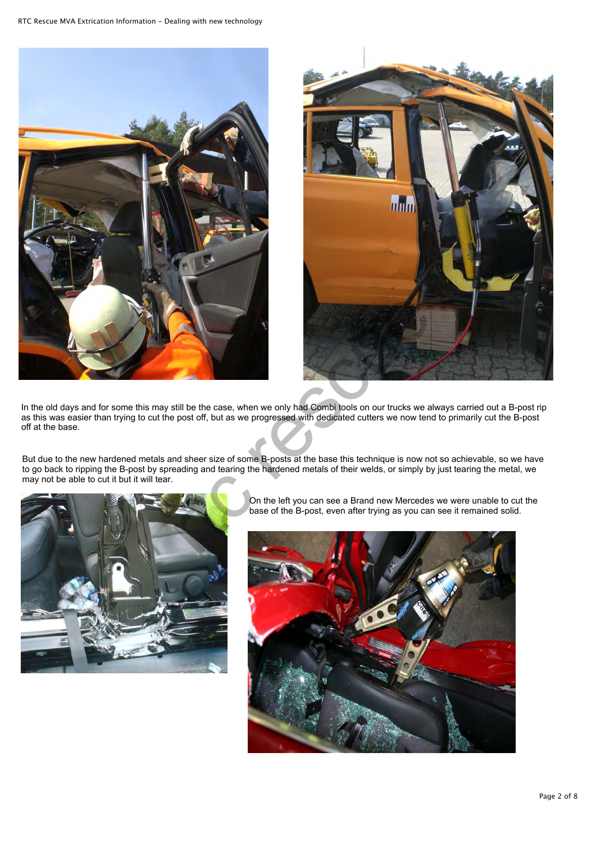



In the old days and for some this may still be the case, when we only had Combi tools on our trucks we always carried out a B-post rip as this was easier than trying to cut the post off, but as we progressed with dedicated cutters we now tend to primarily cut the B-post off at the base.

But due to the new hardened metals and sheer size of some B-posts at the base this technique is now not so achievable, so we have to go back to ripping the B-post by spreading and tearing the hardened metals of their welds, or simply by just tearing the metal, we may not be able to cut it but it will tear.



On the left you can see a Brand new Mercedes we were unable to cut the base of the B-post, even after trying as you can see it remained solid.

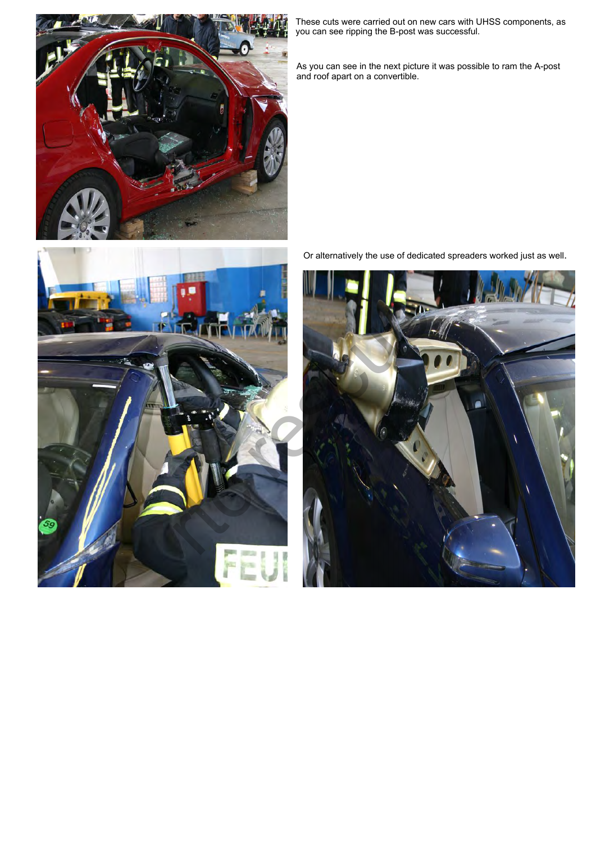

These cuts were carried out on new cars with UHSS components, as you can see ripping the B-post was successful.

As you can see in the next picture it was possible to ram the A-post and roof apart on a convertible.



Or alternatively the use of dedicated spreaders worked just as well.

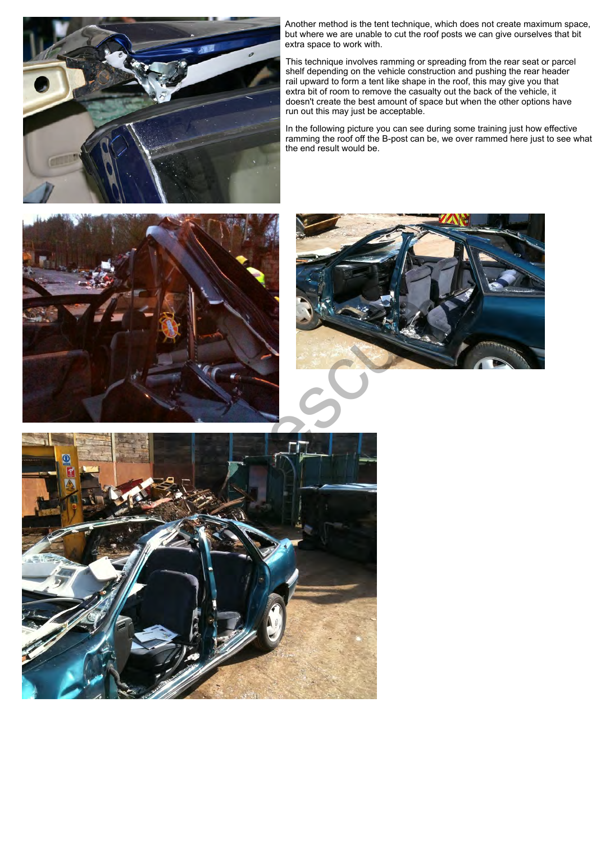

Another method is the tent technique, which does not create maximum space, but where we are unable to cut the roof posts we can give ourselves that bit extra space to work with.

This technique involves ramming or spreading from the rear seat or parcel shelf depending on the vehicle construction and pushing the rear header rail upward to form a tent like shape in the roof, this may give you that extra bit of room to remove the casualty out the back of the vehicle, it doesn't create the best amount of space but when the other options have run out this may just be acceptable.

In the following picture you can see during some training just how effective ramming the roof off the B-post can be, we over rammed here just to see what the end result would be.